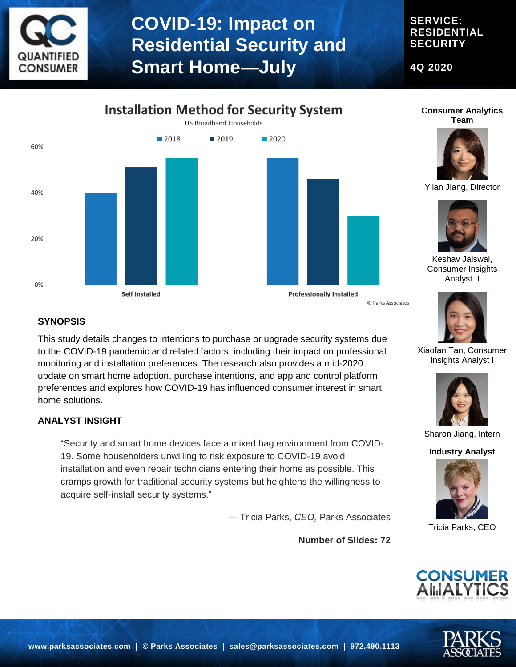

### **SERVICE: RESIDENTIAL SECURITY**

**4Q 2020**





© Parks Associates

#### **Consumer Analytics Team**



Yilan Jiang, Director



Keshav Jaiswal, Consumer Insights Analyst II



This study details changes to intentions to purchase or upgrade security systems due to the COVID-19 pandemic and related factors, including their impact on professional monitoring and installation preferences. The research also provides a mid-2020 update on smart home adoption, purchase intentions, and app and control platform preferences and explores how COVID-19 has influenced consumer interest in smart home solutions.

#### **ANALYST INSIGHT**

"Security and smart home devices face a mixed bag environment from COVID-19. Some householders unwilling to risk exposure to COVID-19 avoid installation and even repair technicians entering their home as possible. This cramps growth for traditional security systems but heightens the willingness to acquire self-install security systems."

― Tricia Parks, *CEO,* Parks Associates

**Number of Slides: 72**



Xiaofan Tan, Consumer Insights Analyst I



Sharon Jiang, Intern

**Industry Analyst**



Tricia Parks, CEO



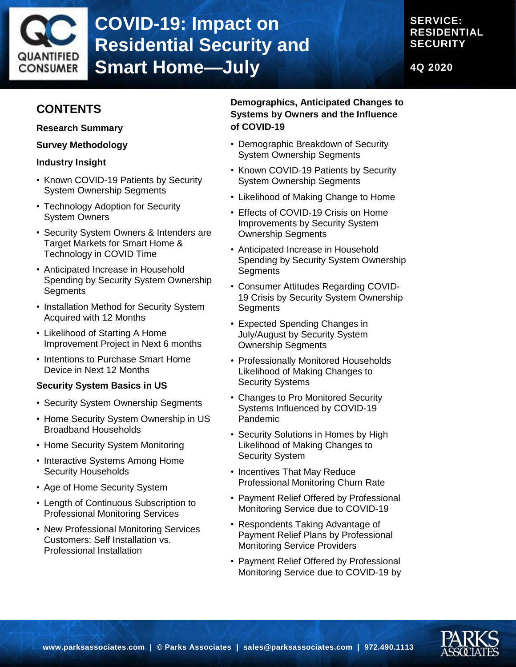

### **SERVICE: RESIDENTIAL SECURITY**

**4Q 2020**

# **CONTENTS**

**Research Summary**

**Survey Methodology**

### **Industry Insight**

- Known COVID-19 Patients by Security System Ownership Segments
- Technology Adoption for Security System Owners
- Security System Owners & Intenders are Target Markets for Smart Home & Technology in COVID Time
- Anticipated Increase in Household Spending by Security System Ownership **Segments**
- Installation Method for Security System Acquired with 12 Months
- Likelihood of Starting A Home Improvement Project in Next 6 months
- Intentions to Purchase Smart Home Device in Next 12 Months

### **Security System Basics in US**

- Security System Ownership Segments
- Home Security System Ownership in US Broadband Households
- Home Security System Monitoring
- Interactive Systems Among Home Security Households
- Age of Home Security System
- Length of Continuous Subscription to Professional Monitoring Services
- New Professional Monitoring Services Customers: Self Installation vs. Professional Installation

### **Demographics, Anticipated Changes to Systems by Owners and the Influence of COVID-19**

- Demographic Breakdown of Security System Ownership Segments
- Known COVID-19 Patients by Security System Ownership Segments
- Likelihood of Making Change to Home
- Effects of COVID-19 Crisis on Home Improvements by Security System Ownership Segments
- Anticipated Increase in Household Spending by Security System Ownership **Segments**
- Consumer Attitudes Regarding COVID-19 Crisis by Security System Ownership **Segments**
- Expected Spending Changes in July/August by Security System Ownership Segments
- Professionally Monitored Households Likelihood of Making Changes to Security Systems
- Changes to Pro Monitored Security Systems Influenced by COVID-19 Pandemic
- Security Solutions in Homes by High Likelihood of Making Changes to Security System
- Incentives That May Reduce Professional Monitoring Churn Rate
- Payment Relief Offered by Professional Monitoring Service due to COVID-19
- Respondents Taking Advantage of Payment Relief Plans by Professional Monitoring Service Providers
- Payment Relief Offered by Professional Monitoring Service due to COVID-19 by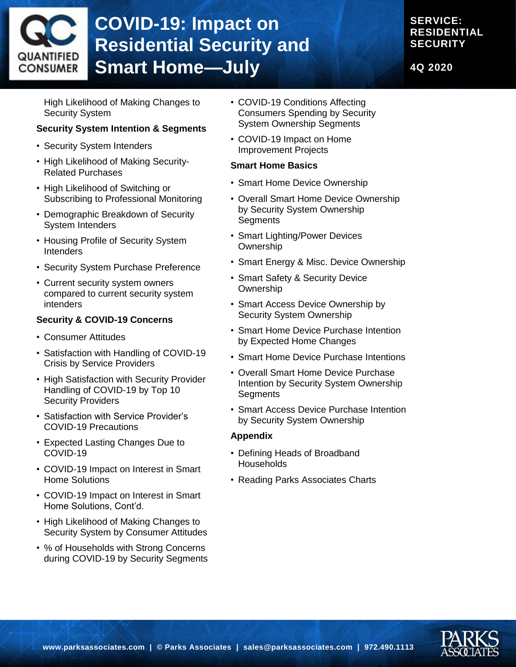

## **SERVICE: RESIDENTIAL SECURITY**

**4Q 2020**

High Likelihood of Making Changes to Security System

### **Security System Intention & Segments**

- Security System Intenders
- High Likelihood of Making Security-Related Purchases
- High Likelihood of Switching or Subscribing to Professional Monitoring
- Demographic Breakdown of Security System Intenders
- Housing Profile of Security System **Intenders**
- Security System Purchase Preference
- Current security system owners compared to current security system intenders

### **Security & COVID-19 Concerns**

- Consumer Attitudes
- Satisfaction with Handling of COVID-19 Crisis by Service Providers
- High Satisfaction with Security Provider Handling of COVID-19 by Top 10 Security Providers
- Satisfaction with Service Provider's COVID-19 Precautions
- Expected Lasting Changes Due to COVID-19
- COVID-19 Impact on Interest in Smart Home Solutions
- COVID-19 Impact on Interest in Smart Home Solutions, Cont'd.
- High Likelihood of Making Changes to Security System by Consumer Attitudes
- % of Households with Strong Concerns during COVID-19 by Security Segments
- COVID-19 Conditions Affecting Consumers Spending by Security System Ownership Segments
- COVID-19 Impact on Home Improvement Projects

#### **Smart Home Basics**

- Smart Home Device Ownership
- Overall Smart Home Device Ownership by Security System Ownership **Segments**
- Smart Lighting/Power Devices **Ownership**
- Smart Energy & Misc. Device Ownership
- Smart Safety & Security Device **Ownership**
- Smart Access Device Ownership by Security System Ownership
- Smart Home Device Purchase Intention by Expected Home Changes
- Smart Home Device Purchase Intentions
- Overall Smart Home Device Purchase Intention by Security System Ownership **Segments**
- Smart Access Device Purchase Intention by Security System Ownership

### **Appendix**

- Defining Heads of Broadband **Households**
- Reading Parks Associates Charts